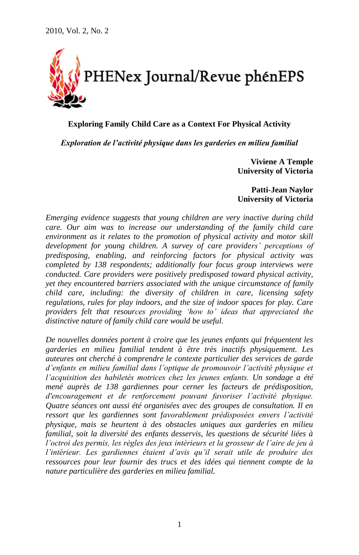

**Exploring Family Child Care as a Context For Physical Activity**

*Exploration de l'activité physique dans les garderies en milieu familial*

**Viviene A Temple University of Victoria**

**Patti-Jean Naylor University of Victoria**

*Emerging evidence suggests that young children are very inactive during child care. Our aim was to increase our understanding of the family child care environment as it relates to the promotion of physical activity and motor skill development for young children. A survey of care providers" perceptions of predisposing, enabling, and reinforcing factors for physical activity was completed by 138 respondents; additionally four focus group interviews were conducted. Care providers were positively predisposed toward physical activity, yet they encountered barriers associated with the unique circumstance of family child care, including: the diversity of children in care, licensing safety regulations, rules for play indoors, and the size of indoor spaces for play. Care providers felt that resources providing "how to" ideas that appreciated the distinctive nature of family child care would be useful.* 

*De nouvelles données portent à croire que les jeunes enfants qui fréquentent les garderies en milieu familial tendent à être très inactifs physiquement. Les auteures ont cherché à comprendre le contexte particulier des services de garde d"enfants en milieu familial dans l"optique de promouvoir l"activité physique et l"acquisition des habiletés motrices chez les jeunes enfants. Un sondage a été mené auprès de 138 gardiennes pour cerner les facteurs de prédisposition, d'encouragement et de renforcement pouvant favoriser l"activité physique. Quatre séances ont aussi été organisées avec des groupes de consultation. Il en ressort que les gardiennes sont favorablement prédisposées envers l"activité physique, mais se heurtent à des obstacles uniques aux garderies en milieu familial, soit la diversité des enfants desservis, les questions de sécurité liées à l"octroi des permis, les règles des jeux intérieurs et la grosseur de l"aire de jeu à l"intérieur. Les gardiennes étaient d"avis qu"il serait utile de produire des ressources pour leur fournir des trucs et des idées qui tiennent compte de la nature particulière des garderies en milieu familial.*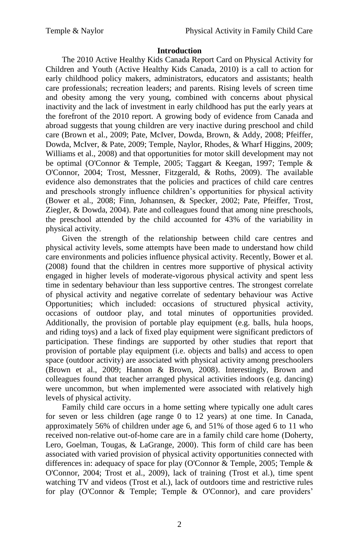#### **Introduction**

The 2010 Active Healthy Kids Canada Report Card on Physical Activity for Children and Youth (Active Healthy Kids Canada, 2010) is a call to action for early childhood policy makers, administrators, educators and assistants; health care professionals; recreation leaders; and parents. Rising levels of screen time and obesity among the very young, combined with concerns about physical inactivity and the lack of investment in early childhood has put the early years at the forefront of the 2010 report. A growing body of evidence from Canada and abroad suggests that young children are very inactive during preschool and child care (Brown et al., 2009; Pate, McIver, Dowda, Brown, & Addy, 2008; Pfeiffer, Dowda, McIver, & Pate, 2009; Temple, Naylor, Rhodes, & Wharf Higgins, 2009; Williams et al., 2008) and that opportunities for motor skill development may not be optimal (O'Connor & Temple, 2005; Taggart & Keegan, 1997; Temple & O'Connor, 2004; Trost, Messner, Fitzgerald, & Roths, 2009). The available evidence also demonstrates that the policies and practices of child care centres and preschools strongly influence children"s opportunities for physical activity (Bower et al., 2008; Finn, Johannsen, & Specker, 2002; Pate, Pfeiffer, Trost, Ziegler, & Dowda, 2004). Pate and colleagues found that among nine preschools, the preschool attended by the child accounted for 43% of the variability in physical activity.

Given the strength of the relationship between child care centres and physical activity levels, some attempts have been made to understand how child care environments and policies influence physical activity. Recently, Bower et al. (2008) found that the children in centres more supportive of physical activity engaged in higher levels of moderate-vigorous physical activity and spent less time in sedentary behaviour than less supportive centres. The strongest correlate of physical activity and negative correlate of sedentary behaviour was Active Opportunities; which included: occasions of structured physical activity, occasions of outdoor play, and total minutes of opportunities provided. Additionally, the provision of portable play equipment (e.g. balls, hula hoops, and riding toys) and a lack of fixed play equipment were significant predictors of participation. These findings are supported by other studies that report that provision of portable play equipment (i.e. objects and balls) and access to open space (outdoor activity) are associated with physical activity among preschoolers (Brown et al., 2009; Hannon & Brown, 2008). Interestingly, Brown and colleagues found that teacher arranged physical activities indoors (e.g. dancing) were uncommon, but when implemented were associated with relatively high levels of physical activity.

Family child care occurs in a home setting where typically one adult cares for seven or less children (age range 0 to 12 years) at one time. In Canada, approximately 56% of children under age 6, and 51% of those aged 6 to 11 who received non-relative out-of-home care are in a family child care home (Doherty, Lero, Goelman, Tougas, & LaGrange, 2000). This form of child care has been associated with varied provision of physical activity opportunities connected with differences in: adequacy of space for play (O'Connor & Temple, 2005; Temple & O'Connor, 2004; Trost et al., 2009), lack of training (Trost et al.), time spent watching TV and videos (Trost et al.), lack of outdoors time and restrictive rules for play (O'Connor & Temple; Temple & O'Connor), and care providers'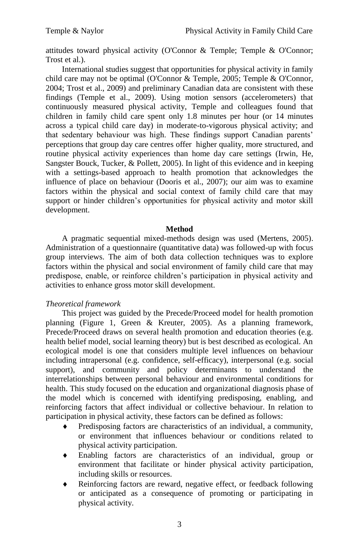attitudes toward physical activity (O'Connor & Temple; Temple & O'Connor; Trost et al.).

International studies suggest that opportunities for physical activity in family child care may not be optimal (O'Connor & Temple, 2005; Temple & O'Connor, 2004; Trost et al., 2009) and preliminary Canadian data are consistent with these findings (Temple et al., 2009). Using motion sensors (accelerometers) that continuously measured physical activity, Temple and colleagues found that children in family child care spent only 1.8 minutes per hour (or 14 minutes across a typical child care day) in moderate-to-vigorous physical activity; and that sedentary behaviour was high. These findings support Canadian parents" perceptions that group day care centres offer higher quality, more structured, and routine physical activity experiences than home day care settings (Irwin, He, Sangster Bouck, Tucker, & Pollett, 2005). In light of this evidence and in keeping with a settings-based approach to health promotion that acknowledges the influence of place on behaviour (Dooris et al., 2007); our aim was to examine factors within the physical and social context of family child care that may support or hinder children's opportunities for physical activity and motor skill development.

## **Method**

A pragmatic sequential mixed-methods design was used (Mertens, 2005). Administration of a questionnaire (quantitative data) was followed-up with focus group interviews. The aim of both data collection techniques was to explore factors within the physical and social environment of family child care that may predispose, enable, or reinforce children"s participation in physical activity and activities to enhance gross motor skill development.

## *Theoretical framework*

This project was guided by the Precede/Proceed model for health promotion planning (Figure 1, Green & Kreuter, 2005). As a planning framework, Precede/Proceed draws on several health promotion and education theories (e.g. health belief model, social learning theory) but is best described as ecological. An ecological model is one that considers multiple level influences on behaviour including intrapersonal (e.g. confidence, self-efficacy), interpersonal (e.g. social support), and community and policy determinants to understand the interrelationships between personal behaviour and environmental conditions for health. This study focused on the education and organizational diagnosis phase of the model which is concerned with identifying predisposing, enabling, and reinforcing factors that affect individual or collective behaviour. In relation to participation in physical activity, these factors can be defined as follows:

- Predisposing factors are characteristics of an individual, a community, or environment that influences behaviour or conditions related to physical activity participation.
- Enabling factors are characteristics of an individual, group or environment that facilitate or hinder physical activity participation, including skills or resources.
- Reinforcing factors are reward, negative effect, or feedback following or anticipated as a consequence of promoting or participating in physical activity.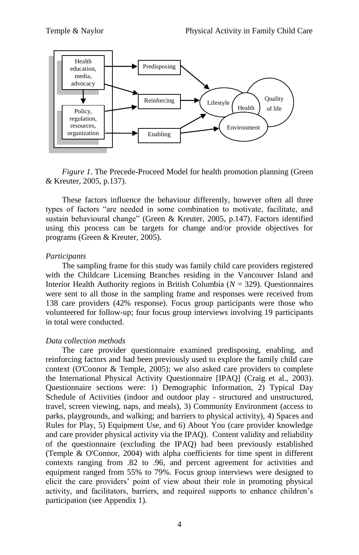

*Figure 1*. The Precede-Proceed Model for health promotion planning (Green & Kreuter, 2005, p.137).

These factors influence the behaviour differently, however often all three types of factors "are needed in some combination to motivate, facilitate, and sustain behavioural change" (Green & Kreuter, 2005, p.147). Factors identified using this process can be targets for change and/or provide objectives for programs (Green & Kreuter, 2005).

#### *Participants*

The sampling frame for this study was family child care providers registered with the Childcare Licensing Branches residing in the Vancouver Island and Interior Health Authority regions in British Columbia (*N* = 329). Questionnaires were sent to all those in the sampling frame and responses were received from 138 care providers (42% response). Focus group participants were those who volunteered for follow-up; four focus group interviews involving 19 participants in total were conducted.

#### *Data collection methods*

The care provider questionnaire examined predisposing, enabling, and reinforcing factors and had been previously used to explore the family child care context (O'Connor & Temple, 2005); we also asked care providers to complete the International Physical Activity Questionnaire [IPAQ] (Craig et al., 2003). Questionnaire sections were: 1) Demographic Information, 2) Typical Day Schedule of Activities (indoor and outdoor play - structured and unstructured, travel, screen viewing, naps, and meals), 3) Community Environment (access to parks, playgrounds, and walking; and barriers to physical activity), 4) Spaces and Rules for Play, 5) Equipment Use, and 6) About You (care provider knowledge and care provider physical activity via the IPAQ). Content validity and reliability of the questionnaire (excluding the IPAQ) had been previously established (Temple & O'Connor, 2004) with alpha coefficients for time spent in different contexts ranging from .82 to .96, and percent agreement for activities and equipment ranged from 55% to 79%. Focus group interviews were designed to elicit the care providers" point of view about their role in promoting physical activity, and facilitators, barriers, and required supports to enhance children"s participation (see Appendix 1).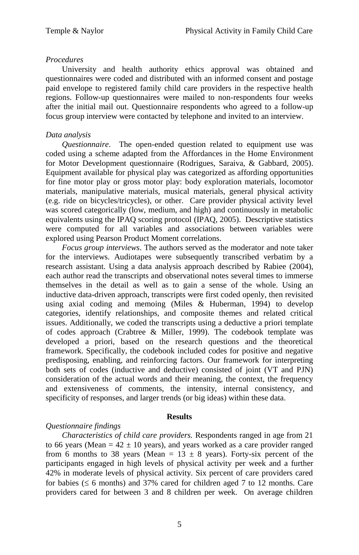## *Procedures*

University and health authority ethics approval was obtained and questionnaires were coded and distributed with an informed consent and postage paid envelope to registered family child care providers in the respective health regions. Follow-up questionnaires were mailed to non-respondents four weeks after the initial mail out. Questionnaire respondents who agreed to a follow-up focus group interview were contacted by telephone and invited to an interview.

## *Data analysis*

*Questionnaire*. The open-ended question related to equipment use was coded using a scheme adapted from the Affordances in the Home Environment for Motor Development questionnaire (Rodrigues, Saraiva, & Gabbard, 2005). Equipment available for physical play was categorized as affording opportunities for fine motor play or gross motor play: body exploration materials, locomotor materials, manipulative materials, musical materials, general physical activity (e.g. ride on bicycles/tricycles), or other. Care provider physical activity level was scored categorically (low, medium, and high) and continuously in metabolic equivalents using the IPAQ scoring protocol (IPAQ, 2005). Descriptive statistics were computed for all variables and associations between variables were explored using Pearson Product Moment correlations.

*Focus group interviews*. The authors served as the moderator and note taker for the interviews. Audiotapes were subsequently transcribed verbatim by a research assistant. Using a data analysis approach described by Rabiee (2004), each author read the transcripts and observational notes several times to immerse themselves in the detail as well as to gain a sense of the whole. Using an inductive data-driven approach, transcripts were first coded openly, then revisited using axial coding and memoing (Miles & Huberman, 1994) to develop categories, identify relationships, and composite themes and related critical issues. Additionally, we coded the transcripts using a deductive a priori template of codes approach (Crabtree & Miller, 1999). The codebook template was developed a priori, based on the research questions and the theoretical framework. Specifically, the codebook included codes for positive and negative predisposing, enabling, and reinforcing factors. Our framework for interpreting both sets of codes (inductive and deductive) consisted of joint (VT and PJN) consideration of the actual words and their meaning, the context, the frequency and extensiveness of comments, the intensity, internal consistency, and specificity of responses, and larger trends (or big ideas) within these data.

## **Results**

## *Questionnaire findings*

*Characteristics of child care providers.* Respondents ranged in age from 21 to 66 years (Mean =  $42 \pm 10$  years), and years worked as a care provider ranged from 6 months to 38 years (Mean =  $13 \pm 8$  years). Forty-six percent of the participants engaged in high levels of physical activity per week and a further 42% in moderate levels of physical activity. Six percent of care providers cared for babies ( $\leq 6$  months) and 37% cared for children aged 7 to 12 months. Care providers cared for between 3 and 8 children per week. On average children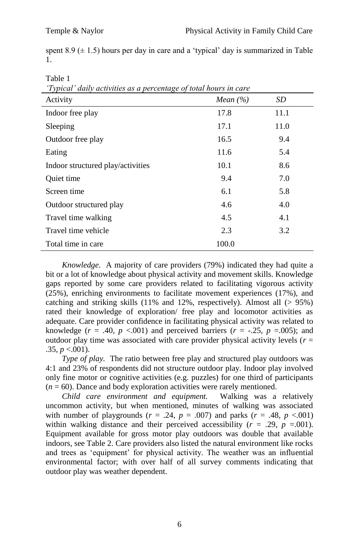spent  $8.9 \ (\pm 1.5)$  hours per day in care and a 'typical' day is summarized in Table 1.

Table 1

*"Typical" daily activities as a percentage of total hours in care*

| 17 preur aang aen nies as a percentage of total noms in<br>Activity | Mean $(\% )$ | SD   |
|---------------------------------------------------------------------|--------------|------|
| Indoor free play                                                    | 17.8         | 11.1 |
| Sleeping                                                            | 17.1         | 11.0 |
| Outdoor free play                                                   | 16.5         | 9.4  |
| Eating                                                              | 11.6         | 5.4  |
| Indoor structured play/activities                                   | 10.1         | 8.6  |
| Quiet time                                                          | 9.4          | 7.0  |
| Screen time                                                         | 6.1          | 5.8  |
| Outdoor structured play                                             | 4.6          | 4.0  |
| Travel time walking                                                 | 4.5          | 4.1  |
| Travel time vehicle                                                 | 2.3          | 3.2  |
| Total time in care                                                  | 100.0        |      |

*Knowledge*. A majority of care providers (79%) indicated they had quite a bit or a lot of knowledge about physical activity and movement skills. Knowledge gaps reported by some care providers related to facilitating vigorous activity (25%), enriching environments to facilitate movement experiences (17%), and catching and striking skills  $(11\%$  and  $12\%$ , respectively). Almost all  $(> 95\%)$ rated their knowledge of exploration/ free play and locomotor activities as adequate. Care provider confidence in facilitating physical activity was related to knowledge ( $r = .40$ ,  $p < .001$ ) and perceived barriers ( $r = -.25$ ,  $p = .005$ ); and outdoor play time was associated with care provider physical activity levels ( $r =$  $.35, p < .001$ ).

*Type of play.* The ratio between free play and structured play outdoors was 4:1 and 23% of respondents did not structure outdoor play. Indoor play involved only fine motor or cognitive activities (e.g. puzzles) for one third of participants  $(n = 60)$ . Dance and body exploration activities were rarely mentioned.<br>Child care environment and equipment. Walking was a relatively

*Child care environment and equipment.* uncommon activity, but when mentioned, minutes of walking was associated with number of playgrounds ( $r = .24$ ,  $p = .007$ ) and parks ( $r = .48$ ,  $p < .001$ ) within walking distance and their perceived accessibility  $(r = .29, p = .001)$ . Equipment available for gross motor play outdoors was double that available indoors, see Table 2. Care providers also listed the natural environment like rocks and trees as "equipment" for physical activity. The weather was an influential environmental factor; with over half of all survey comments indicating that outdoor play was weather dependent.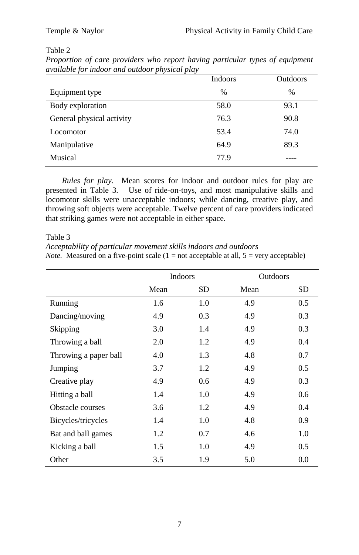# Table 2

|                           | Indoors       | <b>Outdoors</b> |
|---------------------------|---------------|-----------------|
| Equipment type            | $\frac{0}{0}$ | $\%$            |
| Body exploration          | 58.0          | 93.1            |
| General physical activity | 76.3          | 90.8            |
| Locomotor                 | 53.4          | 74.0            |
| Manipulative              | 64.9          | 89.3            |
| Musical                   | 77.9          |                 |
|                           |               |                 |

*Proportion of care providers who report having particular types of equipment available for indoor and outdoor physical play*

*Rules for play.* Mean scores for indoor and outdoor rules for play are presented in Table 3. Use of ride-on-toys, and most manipulative skills and locomotor skills were unacceptable indoors; while dancing, creative play, and throwing soft objects were acceptable. Twelve percent of care providers indicated that striking games were not acceptable in either space.

Table 3

*Acceptability of particular movement skills indoors and outdoors Note.* Measured on a five-point scale  $(1 = not acceptable at all, 5 = very acceptable)$ 

|                       | Indoors |     | <b>Outdoors</b> |     |
|-----------------------|---------|-----|-----------------|-----|
|                       | Mean    | SD  | Mean            | SD  |
| Running               | 1.6     | 1.0 | 4.9             | 0.5 |
| Dancing/moving        | 4.9     | 0.3 | 4.9             | 0.3 |
| Skipping              | 3.0     | 1.4 | 4.9             | 0.3 |
| Throwing a ball       | 2.0     | 1.2 | 4.9             | 0.4 |
| Throwing a paper ball | 4.0     | 1.3 | 4.8             | 0.7 |
| Jumping               | 3.7     | 1.2 | 4.9             | 0.5 |
| Creative play         | 4.9     | 0.6 | 4.9             | 0.3 |
| Hitting a ball        | 1.4     | 1.0 | 4.9             | 0.6 |
| Obstacle courses      | 3.6     | 1.2 | 4.9             | 0.4 |
| Bicycles/tricycles    | 1.4     | 1.0 | 4.8             | 0.9 |
| Bat and ball games    | 1.2     | 0.7 | 4.6             | 1.0 |
| Kicking a ball        | 1.5     | 1.0 | 4.9             | 0.5 |
| Other                 | 3.5     | 1.9 | 5.0             | 0.0 |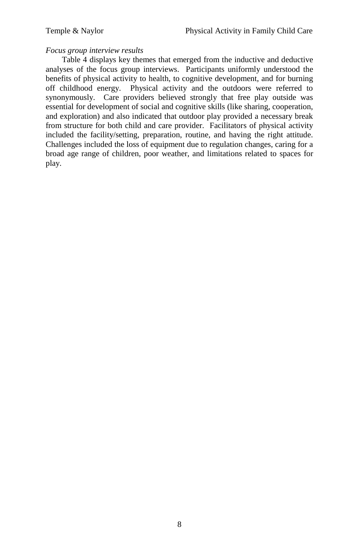## *Focus group interview results*

Table 4 displays key themes that emerged from the inductive and deductive analyses of the focus group interviews. Participants uniformly understood the benefits of physical activity to health, to cognitive development, and for burning off childhood energy. Physical activity and the outdoors were referred to synonymously. Care providers believed strongly that free play outside was essential for development of social and cognitive skills (like sharing, cooperation, and exploration) and also indicated that outdoor play provided a necessary break from structure for both child and care provider. Facilitators of physical activity included the facility/setting, preparation, routine, and having the right attitude. Challenges included the loss of equipment due to regulation changes, caring for a broad age range of children, poor weather, and limitations related to spaces for play.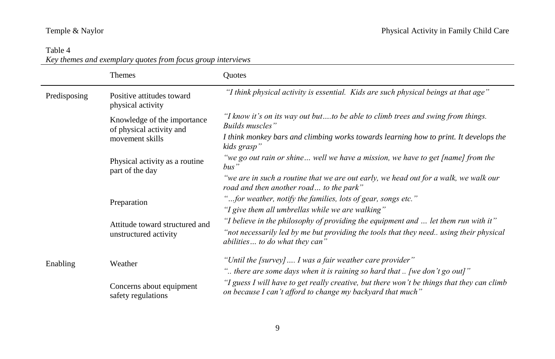# Table 4

*Key themes and exemplary quotes from focus group interviews*

|                 | <b>Themes</b>                                                              | <b>Ouotes</b>                                                                                                                                                                                                  |
|-----------------|----------------------------------------------------------------------------|----------------------------------------------------------------------------------------------------------------------------------------------------------------------------------------------------------------|
| Predisposing    | Positive attitudes toward<br>physical activity                             | "I think physical activity is essential. Kids are such physical beings at that age"                                                                                                                            |
| part of the day | Knowledge of the importance<br>of physical activity and<br>movement skills | "I know it's on its way out butto be able to climb trees and swing from things.<br>Builds muscles"                                                                                                             |
|                 |                                                                            | I think monkey bars and climbing works towards learning how to print. It develops the<br>kids grasp"                                                                                                           |
|                 | Physical activity as a routine                                             | "we go out rain or shine well we have a mission, we have to get [name] from the<br>$bus$ "                                                                                                                     |
|                 |                                                                            | "we are in such a routine that we are out early, we head out for a walk, we walk our<br>road and then another road to the park"                                                                                |
|                 | Preparation                                                                | "for weather, notify the families, lots of gear, songs etc."                                                                                                                                                   |
|                 |                                                                            | "I give them all umbrellas while we are walking"                                                                                                                                                               |
|                 | Attitude toward structured and<br>unstructured activity                    | "I believe in the philosophy of providing the equipment and  let them run with it"<br>"not necessarily led by me but providing the tools that they need using their physical<br>abilities to do what they can" |
| Enabling        | Weather                                                                    | "Until the [survey]  I was a fair weather care provider"<br>" there are some days when it is raining so hard that $\ldots$ [we don't go out]"                                                                  |
|                 | Concerns about equipment<br>safety regulations                             | "I guess I will have to get really creative, but there won't be things that they can climb<br>on because I can't afford to change my backyard that much"                                                       |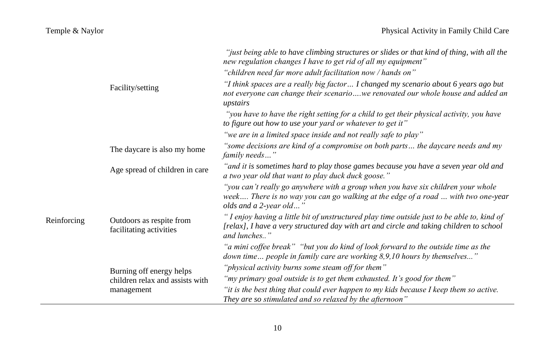|                                                                                  |                                 | "just being able to have climbing structures or slides or that kind of thing, with all the<br>new regulation changes I have to get rid of all my equipment"<br>"children need far more adult facilitation now / hands on" |
|----------------------------------------------------------------------------------|---------------------------------|---------------------------------------------------------------------------------------------------------------------------------------------------------------------------------------------------------------------------|
|                                                                                  | Facility/setting                | "I think spaces are a really big factor I changed my scenario about 6 years ago but<br>not everyone can change their scenariowe renovated our whole house and added an<br>upstairs                                        |
|                                                                                  |                                 | "you have to have the right setting for a child to get their physical activity, you have<br>to figure out how to use your yard or whatever to get it"                                                                     |
|                                                                                  |                                 | "we are in a limited space inside and not really safe to play"                                                                                                                                                            |
|                                                                                  | The daycare is also my home     | "some decisions are kind of a compromise on both parts the daycare needs and my<br>family needs"                                                                                                                          |
|                                                                                  | Age spread of children in care  | "and it is sometimes hard to play those games because you have a seven year old and<br>a two year old that want to play duck duck goose."                                                                                 |
|                                                                                  |                                 | "you can't really go anywhere with a group when you have six children your whole<br>week There is no way you can go walking at the edge of a road  with two one-year<br>olds and a 2-year old"                            |
| Reinforcing<br>facilitating activities<br>Burning off energy helps<br>management | Outdoors as respite from        | "I enjoy having a little bit of unstructured play time outside just to be able to, kind of<br>[relax], I have a very structured day with art and circle and taking children to school<br>and lunches"                     |
|                                                                                  |                                 | "a mini coffee break" "but you do kind of look forward to the outside time as the<br>down time people in family care are working 8,9,10 hours by themselves"                                                              |
|                                                                                  |                                 | "physical activity burns some steam off for them"                                                                                                                                                                         |
|                                                                                  | children relax and assists with | "my primary goal outside is to get them exhausted. It's good for them"                                                                                                                                                    |
|                                                                                  |                                 | "it is the best thing that could ever happen to my kids because I keep them so active.<br>They are so stimulated and so relaxed by the afternoon"                                                                         |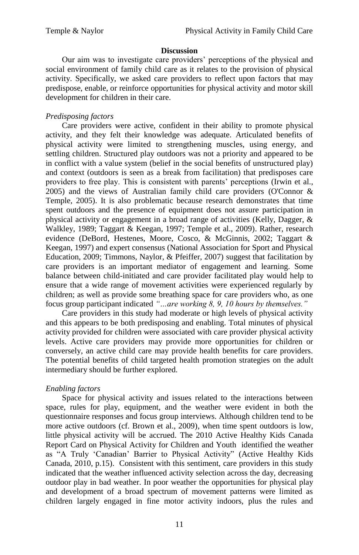#### **Discussion**

Our aim was to investigate care providers" perceptions of the physical and social environment of family child care as it relates to the provision of physical activity. Specifically, we asked care providers to reflect upon factors that may predispose, enable, or reinforce opportunities for physical activity and motor skill development for children in their care.

## *Predisposing factors*

Care providers were active, confident in their ability to promote physical activity, and they felt their knowledge was adequate. Articulated benefits of physical activity were limited to strengthening muscles, using energy, and settling children. Structured play outdoors was not a priority and appeared to be in conflict with a value system (belief in the social benefits of unstructured play) and context (outdoors is seen as a break from facilitation) that predisposes care providers to free play. This is consistent with parents" perceptions (Irwin et al., 2005) and the views of Australian family child care providers (O'Connor & Temple, 2005). It is also problematic because research demonstrates that time spent outdoors and the presence of equipment does not assure participation in physical activity or engagement in a broad range of activities (Kelly, Dagger, & Walkley, 1989; Taggart & Keegan, 1997; Temple et al., 2009). Rather, research evidence (DeBord, Hestenes, Moore, Cosco, & McGinnis, 2002; Taggart & Keegan, 1997) and expert consensus (National Association for Sport and Physical Education, 2009; Timmons, Naylor, & Pfeiffer, 2007) suggest that facilitation by care providers is an important mediator of engagement and learning. Some balance between child-initiated and care provider facilitated play would help to ensure that a wide range of movement activities were experienced regularly by children; as well as provide some breathing space for care providers who, as one focus group participant indicated *"…are working 8, 9, 10 hours by themselves."* 

Care providers in this study had moderate or high levels of physical activity and this appears to be both predisposing and enabling. Total minutes of physical activity provided for children were associated with care provider physical activity levels. Active care providers may provide more opportunities for children or conversely, an active child care may provide health benefits for care providers. The potential benefits of child targeted health promotion strategies on the adult intermediary should be further explored.

## *Enabling factors*

Space for physical activity and issues related to the interactions between space, rules for play, equipment, and the weather were evident in both the questionnaire responses and focus group interviews. Although children tend to be more active outdoors (cf. Brown et al., 2009), when time spent outdoors is low, little physical activity will be accrued. The 2010 Active Healthy Kids Canada Report Card on Physical Activity for Children and Youth identified the weather as "A Truly "Canadian" Barrier to Physical Activity" (Active Healthy Kids Canada, 2010, p.15). Consistent with this sentiment, care providers in this study indicated that the weather influenced activity selection across the day, decreasing outdoor play in bad weather. In poor weather the opportunities for physical play and development of a broad spectrum of movement patterns were limited as children largely engaged in fine motor activity indoors, plus the rules and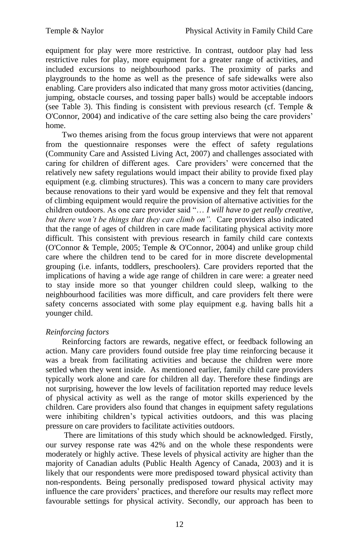equipment for play were more restrictive. In contrast, outdoor play had less restrictive rules for play, more equipment for a greater range of activities, and included excursions to neighbourhood parks. The proximity of parks and playgrounds to the home as well as the presence of safe sidewalks were also enabling. Care providers also indicated that many gross motor activities (dancing, jumping, obstacle courses, and tossing paper balls) would be acceptable indoors (see Table 3). This finding is consistent with previous research (cf. Temple  $\&$ O'Connor, 2004) and indicative of the care setting also being the care providers" home.

Two themes arising from the focus group interviews that were not apparent from the questionnaire responses were the effect of safety regulations (Community Care and Assisted Living Act, 2007) and challenges associated with caring for children of different ages. Care providers' were concerned that the relatively new safety regulations would impact their ability to provide fixed play equipment (e.g. climbing structures). This was a concern to many care providers because renovations to their yard would be expensive and they felt that removal of climbing equipment would require the provision of alternative activities for the children outdoors. As one care provider said "… *I will have to get really creative, but there won't be things that they can climb on".* Care providers also indicated that the range of ages of children in care made facilitating physical activity more difficult. This consistent with previous research in family child care contexts (O'Connor & Temple, 2005; Temple & O'Connor, 2004) and unlike group child care where the children tend to be cared for in more discrete developmental grouping (i.e. infants, toddlers, preschoolers). Care providers reported that the implications of having a wide age range of children in care were: a greater need to stay inside more so that younger children could sleep, walking to the neighbourhood facilities was more difficult, and care providers felt there were safety concerns associated with some play equipment e.g. having balls hit a younger child.

## *Reinforcing factors*

Reinforcing factors are rewards, negative effect, or feedback following an action. Many care providers found outside free play time reinforcing because it was a break from facilitating activities and because the children were more settled when they went inside. As mentioned earlier, family child care providers typically work alone and care for children all day. Therefore these findings are not surprising, however the low levels of facilitation reported may reduce levels of physical activity as well as the range of motor skills experienced by the children. Care providers also found that changes in equipment safety regulations were inhibiting children"s typical activities outdoors, and this was placing pressure on care providers to facilitate activities outdoors.

There are limitations of this study which should be acknowledged. Firstly, our survey response rate was 42% and on the whole these respondents were moderately or highly active. These levels of physical activity are higher than the majority of Canadian adults (Public Health Agency of Canada, 2003) and it is likely that our respondents were more predisposed toward physical activity than non-respondents. Being personally predisposed toward physical activity may influence the care providers' practices, and therefore our results may reflect more favourable settings for physical activity. Secondly, our approach has been to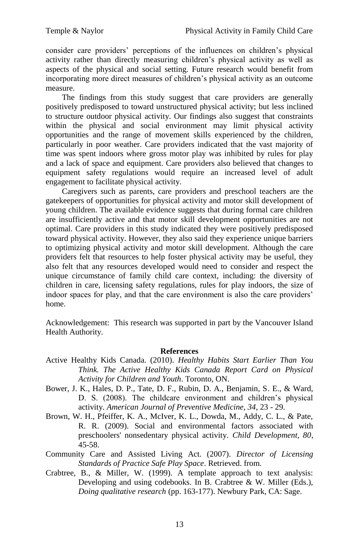consider care providers" perceptions of the influences on children"s physical activity rather than directly measuring children"s physical activity as well as aspects of the physical and social setting. Future research would benefit from incorporating more direct measures of children"s physical activity as an outcome measure.

The findings from this study suggest that care providers are generally positively predisposed to toward unstructured physical activity; but less inclined to structure outdoor physical activity. Our findings also suggest that constraints within the physical and social environment may limit physical activity opportunities and the range of movement skills experienced by the children, particularly in poor weather. Care providers indicated that the vast majority of time was spent indoors where gross motor play was inhibited by rules for play and a lack of space and equipment. Care providers also believed that changes to equipment safety regulations would require an increased level of adult engagement to facilitate physical activity.

Caregivers such as parents, care providers and preschool teachers are the gatekeepers of opportunities for physical activity and motor skill development of young children. The available evidence suggests that during formal care children are insufficiently active and that motor skill development opportunities are not optimal. Care providers in this study indicated they were positively predisposed toward physical activity. However, they also said they experience unique barriers to optimizing physical activity and motor skill development. Although the care providers felt that resources to help foster physical activity may be useful, they also felt that any resources developed would need to consider and respect the unique circumstance of family child care context, including: the diversity of children in care, licensing safety regulations, rules for play indoors, the size of indoor spaces for play, and that the care environment is also the care providers" home.

Acknowledgement: This research was supported in part by the Vancouver Island Health Authority.

#### **References**

- Active Healthy Kids Canada. (2010). *Healthy Habits Start Earlier Than You Think. The Active Healthy Kids Canada Report Card on Physical Activity for Children and Youth*. Toronto, ON.
- Bower, J. K., Hales, D. P., Tate, D. F., Rubin, D. A., Benjamin, S. E., & Ward, D. S. (2008). The childcare environment and children's physical activity. *American Journal of Preventive Medicine, 34*, 23 - 29.
- Brown, W. H., Pfeiffer, K. A., McIver, K. L., Dowda, M., Addy, C. L., & Pate, R. R. (2009). Social and environmental factors associated with preschoolers' nonsedentary physical activity. *Child Development, 80*, 45-58.
- Community Care and Assisted Living Act. (2007). *Director of Licensing Standards of Practice Safe Play Space*. Retrieved. from.
- Crabtree, B., & Miller, W. (1999). A template approach to text analysis: Developing and using codebooks. In B. Crabtree & W. Miller (Eds.), *Doing qualitative research* (pp. 163-177). Newbury Park, CA: Sage.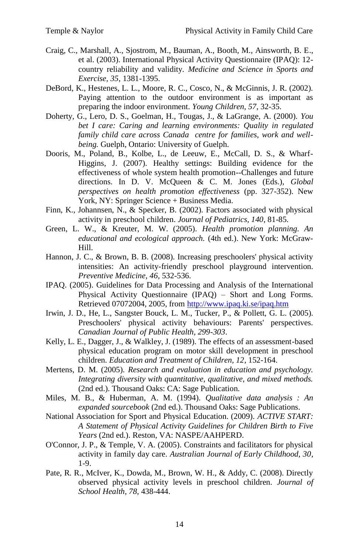- Craig, C., Marshall, A., Sjostrom, M., Bauman, A., Booth, M., Ainsworth, B. E., et al. (2003). International Physical Activity Questionnaire (IPAQ): 12 country reliability and validity. *Medicine and Science in Sports and Exercise, 35*, 1381-1395.
- DeBord, K., Hestenes, L. L., Moore, R. C., Cosco, N., & McGinnis, J. R. (2002). Paying attention to the outdoor environment is as important as preparing the indoor environment. *Young Children, 57*, 32-35.
- Doherty, G., Lero, D. S., Goelman, H., Tougas, J., & LaGrange, A. (2000). *You bet I care: Caring and learning environments: Quality in regulated family child care across Canada centre for families, work and wellbeing.* Guelph, Ontario: University of Guelph.
- Dooris, M., Poland, B., Kolbe, L., de Leeuw, E., McCall, D. S., & Wharf-Higgins, J. (2007). Healthy settings: Building evidence for the effectiveness of whole system health promotion--Challenges and future directions. In D. V. McQueen & C. M. Jones (Eds.), *Global perspectives on health promotion effectiveness* (pp. 327-352). New York, NY: Springer Science + Business Media.
- Finn, K., Johannsen, N., & Specker, B. (2002). Factors associated with physical activity in preschool children. *Journal of Pediatrics, 140*, 81-85.
- Green, L. W., & Kreuter, M. W. (2005). *Health promotion planning. An educational and ecological approach.* (4th ed.). New York: McGraw-Hill.
- Hannon, J. C., & Brown, B. B. (2008). Increasing preschoolers' physical activity intensities: An activity-friendly preschool playground intervention. *Preventive Medicine, 46*, 532-536.
- IPAQ. (2005). Guidelines for Data Processing and Analysis of the International Physical Activity Questionnaire (IPAQ) – Short and Long Forms. Retrieved 07072004, 2005, fro[m http://www.ipaq.ki.se/ipaq.htm](http://www.ipaq.ki.se/ipaq.htm)
- Irwin, J. D., He, L., Sangster Bouck, L. M., Tucker, P., & Pollett, G. L. (2005). Preschoolers' physical activity behaviours: Parents' perspectives. *Canadian Journal of Public Health, 299-303*.
- Kelly, L. E., Dagger, J., & Walkley, J. (1989). The effects of an assessment-based physical education program on motor skill development in preschool children. *Education and Treatment of Children, 12*, 152-164.
- Mertens, D. M. (2005). *Research and evaluation in education and psychology. Integrating diversity with quantitative, qualitative, and mixed methods.* (2nd ed.). Thousand Oaks: CA: Sage Publication.
- Miles, M. B., & Huberman, A. M. (1994). *Qualitative data analysis : An expanded sourcebook* (2nd ed.). Thousand Oaks: Sage Publications.
- National Association for Sport and Physical Education. (2009). *ACTIVE START: A Statement of Physical Activity Guidelines for Children Birth to Five Years* (2nd ed.). Reston, VA: NASPE/AAHPERD.
- O'Connor, J. P., & Temple, V. A. (2005). Constraints and facilitators for physical activity in family day care. *Australian Journal of Early Childhood, 30*, 1-9.
- Pate, R. R., McIver, K., Dowda, M., Brown, W. H., & Addy, C. (2008). Directly observed physical activity levels in preschool children. *Journal of School Health, 78*, 438-444.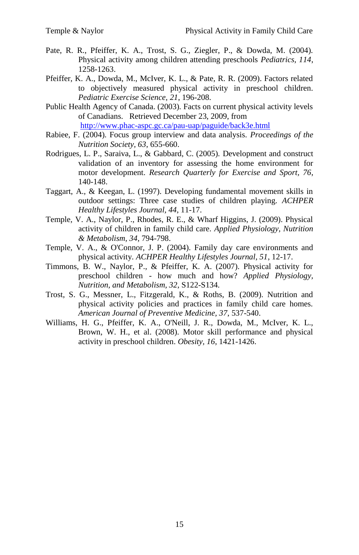- Pate, R. R., Pfeiffer, K. A., Trost, S. G., Ziegler, P., & Dowda, M. (2004). Physical activity among children attending preschools *Pediatrics, 114*, 1258-1263.
- Pfeiffer, K. A., Dowda, M., McIver, K. L., & Pate, R. R. (2009). Factors related to objectively measured physical activity in preschool children. *Pediatric Exercise Science, 21*, 196-208.
- Public Health Agency of Canada. (2003). Facts on current physical activity levels of Canadians. Retrieved December 23, 2009, from <http://www.phac-aspc.gc.ca/pau-uap/paguide/back3e.html>
- Rabiee, F. (2004). Focus group interview and data analysis. *Proceedings of the Nutrition Society, 63*, 655-660.
- Rodrigues, L. P., Saraiva, L., & Gabbard, C. (2005). Development and construct validation of an inventory for assessing the home environment for motor development. *Research Quarterly for Exercise and Sport, 76*, 140-148.
- Taggart, A., & Keegan, L. (1997). Developing fundamental movement skills in outdoor settings: Three case studies of children playing. *ACHPER Healthy Lifestyles Journal, 44*, 11-17.
- Temple, V. A., Naylor, P., Rhodes, R. E., & Wharf Higgins, J. (2009). Physical activity of children in family child care. *Applied Physiology, Nutrition & Metabolism, 34*, 794-798.
- Temple, V. A., & O'Connor, J. P. (2004). Family day care environments and physical activity. *ACHPER Healthy Lifestyles Journal, 51*, 12-17.
- Timmons, B. W., Naylor, P., & Pfeiffer, K. A. (2007). Physical activity for preschool children - how much and how? *Applied Physiology, Nutrition, and Metabolism, 32*, S122-S134.
- Trost, S. G., Messner, L., Fitzgerald, K., & Roths, B. (2009). Nutrition and physical activity policies and practices in family child care homes. *American Journal of Preventive Medicine, 37*, 537-540.
- Williams, H. G., Pfeiffer, K. A., O'Neill, J. R., Dowda, M., McIver, K. L., Brown, W. H., et al. (2008). Motor skill performance and physical activity in preschool children. *Obesity, 16*, 1421-1426.